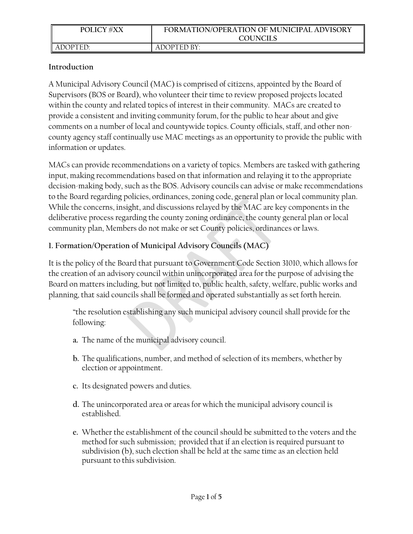| <b>POLICY #XX</b> | FORMATION/OPERATION OF MUNICIPAL ADVISORY |
|-------------------|-------------------------------------------|
|                   | <b>COUNCILS</b>                           |
| ADOPTED:          | ADOPTED BY:                               |

### **Introduction**

A Municipal Advisory Council (MAC) is comprised of citizens, appointed by the Board of Supervisors (BOS or Board), who volunteer their time to review proposed projects located within the county and related topics of interest in their community. MACs are created to provide a consistent and inviting community forum, for the public to hear about and give comments on a number of local and countywide topics. County officials, staff, and other noncounty agency staff continually use MAC meetings as an opportunity to provide the public with information or updates.

MACs can provide recommendations on a variety of topics. Members are tasked with gathering input, making recommendations based on that information and relaying it to the appropriate decision-making body, such as the BOS. Advisory councils can advise or make recommendations to the Board regarding policies, ordinances, zoning code, general plan or local community plan. While the concerns, insight, and discussions relayed by the MAC are key components in the deliberative process regarding the county zoning ordinance, the county general plan or local community plan, Members do not make or set County policies, ordinances or laws.

## **1. Formation/Operation of Municipal Advisory Councils (MAC)**

It is the policy of the Board that pursuant to Government Code Section 31010, which allows for the creation of an advisory council within unincorporated area for the purpose of advising the Board on matters including, but not limited to, public health, safety, welfare, public works and planning, that said councils shall be formed and operated substantially as set forth herein.

"the resolution establishing any such municipal advisory council shall provide for the following:

- **a.** The name of the municipal advisory council.
- **b.** The qualifications, number, and method of selection of its members, whether by election or appointment.
- **c.** Its designated powers and duties.
- **d.** The unincorporated area or areas for which the municipal advisory council is established.
- **e.** Whether the establishment of the council should be submitted to the voters and the method for such submission; provided that if an election is required pursuant to subdivision (b), such election shall be held at the same time as an election held pursuant to this subdivision.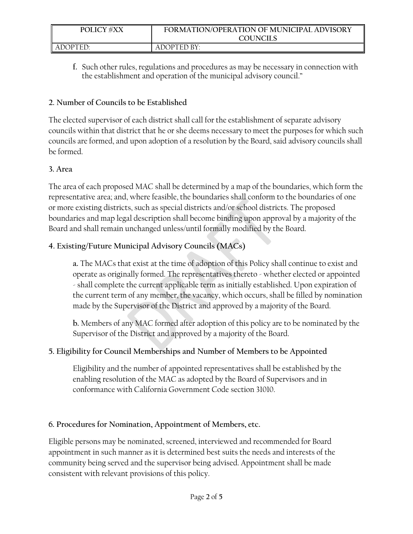| <b>POLICY #XX</b> | FORMATION/OPERATION OF MUNICIPAL ADVISORY<br>COUNCILS |
|-------------------|-------------------------------------------------------|
| ADOPTED:          | ADOPTED BY:                                           |

**f.** Such other rules, regulations and procedures as may be necessary in connection with the establishment and operation of the municipal advisory council."

### **2. Number of Councils to be Established**

The elected supervisor of each district shall call for the establishment of separate advisory councils within that district that he or she deems necessary to meet the purposes for which such councils are formed, and upon adoption of a resolution by the Board, said advisory councils shall be formed.

## **3. Area**

The area of each proposed MAC shall be determined by a map of the boundaries, which form the representative area; and, where feasible, the boundaries shall conform to the boundaries of one or more existing districts, such as special districts and/or school districts. The proposed boundaries and map legal description shall become binding upon approval by a majority of the Board and shall remain unchanged unless/until formally modified by the Board.

# **4. Existing/Future Municipal Advisory Councils (MACs)**

**a.** The MACs that exist at the time of adoption of this Policy shall continue to exist and operate as originally formed. The representatives thereto - whether elected or appointed - shall complete the current applicable term as initially established. Upon expiration of the current term of any member, the vacancy, which occurs, shall be filled by nomination made by the Supervisor of the District and approved by a majority of the Board.

**b.** Members of any MAC formed after adoption of this policy are to be nominated by the Supervisor of the District and approved by a majority of the Board.

# **5. Eligibility for Council Memberships and Number of Members to be Appointed**

Eligibility and the number of appointed representatives shall be established by the enabling resolution of the MAC as adopted by the Board of Supervisors and in conformance with California Government Code section 31010.

# **6. Procedures for Nomination, Appointment of Members, etc.**

Eligible persons may be nominated, screened, interviewed and recommended for Board appointment in such manner as it is determined best suits the needs and interests of the community being served and the supervisor being advised. Appointment shall be made consistent with relevant provisions of this policy.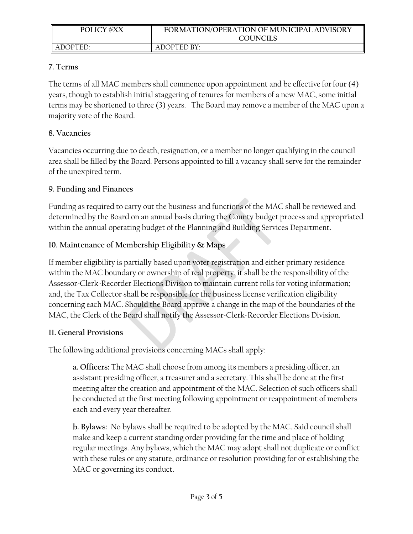| <b>POLICY #XX</b> | FORMATION/OPERATION OF MUNICIPAL ADVISORY<br><b>COUNCILS</b> |
|-------------------|--------------------------------------------------------------|
| ADOPTED:          | ADOPTED BY:                                                  |

### **7. Terms**

The terms of all MAC members shall commence upon appointment and be effective for four (4) years, though to establish initial staggering of tenures for members of a new MAC, some initial terms may be shortened to three (3) years. The Board may remove a member of the MAC upon a majority vote of the Board.

### **8. Vacancies**

Vacancies occurring due to death, resignation, or a member no longer qualifying in the council area shall be filled by the Board. Persons appointed to fill a vacancy shall serve for the remainder of the unexpired term.

### **9. Funding and Finances**

Funding as required to carry out the business and functions of the MAC shall be reviewed and determined by the Board on an annual basis during the County budget process and appropriated within the annual operating budget of the Planning and Building Services Department.

## **10. Maintenance of Membership Eligibility & Maps**

If member eligibility is partially based upon voter registration and either primary residence within the MAC boundary or ownership of real property, it shall be the responsibility of the Assessor-Clerk-Recorder Elections Division to maintain current rolls for voting information; and, the Tax Collector shall be responsible for the business license verification eligibility concerning each MAC. Should the Board approve a change in the map of the boundaries of the MAC, the Clerk of the Board shall notify the Assessor-Clerk-Recorder Elections Division.

#### **11. General Provisions**

The following additional provisions concerning MACs shall apply:

**a. Officers:** The MAC shall choose from among its members a presiding officer, an assistant presiding officer, a treasurer and a secretary. This shall be done at the first meeting after the creation and appointment of the MAC. Selection of such officers shall be conducted at the first meeting following appointment or reappointment of members each and every year thereafter.

**b. Bylaws:** No bylaws shall be required to be adopted by the MAC. Said council shall make and keep a current standing order providing for the time and place of holding regular meetings. Any bylaws, which the MAC may adopt shall not duplicate or conflict with these rules or any statute, ordinance or resolution providing for or establishing the MAC or governing its conduct.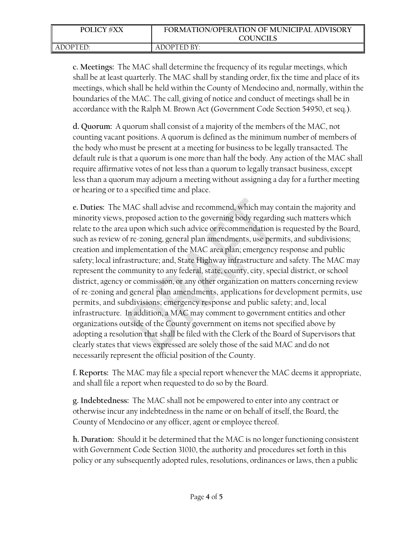| <b>POLICY #XX</b> | FORMATION/OPERATION OF MUNICIPAL ADVISORY |
|-------------------|-------------------------------------------|
|                   | COUNCILS                                  |
| ADOPTED:          | ADOPTED BY:                               |

**c. Meetings:** The MAC shall determine the frequency of its regular meetings, which shall be at least quarterly. The MAC shall by standing order, fix the time and place of its meetings, which shall be held within the County of Mendocino and, normally, within the boundaries of the MAC. The call, giving of notice and conduct of meetings shall be in accordance with the Ralph M. Brown Act (Government Code Section 54950, et seq.).

**d. Quorum:** A quorum shall consist of a majority of the members of the MAC, not counting vacant positions. A quorum is defined as the minimum number of members of the body who must be present at a meeting for business to be legally transacted. The default rule is that a quorum is one more than half the body. Any action of the MAC shall require affirmative votes of not less than a quorum to legally transact business, except less than a quorum may adjourn a meeting without assigning a day for a further meeting or hearing or to a specified time and place.

**e. Duties:** The MAC shall advise and recommend, which may contain the majority and minority views, proposed action to the governing body regarding such matters which relate to the area upon which such advice or recommendation is requested by the Board, such as review of re-zoning, general plan amendments, use permits, and subdivisions; creation and implementation of the MAC area plan; emergency response and public safety; local infrastructure; and, State Highway infrastructure and safety. The MAC may represent the community to any federal, state, county, city, special district, or school district, agency or commission, or any other organization on matters concerning review of re-zoning and general plan amendments, applications for development permits, use permits, and subdivisions; emergency response and public safety; and, local infrastructure. In addition, a MAC may comment to government entities and other organizations outside of the County government on items not specified above by adopting a resolution that shall be filed with the Clerk of the Board of Supervisors that clearly states that views expressed are solely those of the said MAC and do not necessarily represent the official position of the County.

**f. Reports:** The MAC may file a special report whenever the MAC deems it appropriate, and shall file a report when requested to do so by the Board.

**g. Indebtedness:** The MAC shall not be empowered to enter into any contract or otherwise incur any indebtedness in the name or on behalf of itself, the Board, the County of Mendocino or any officer, agent or employee thereof.

**h. Duration:** Should it be determined that the MAC is no longer functioning consistent with Government Code Section 31010, the authority and procedures set forth in this policy or any subsequently adopted rules, resolutions, ordinances or laws, then a public